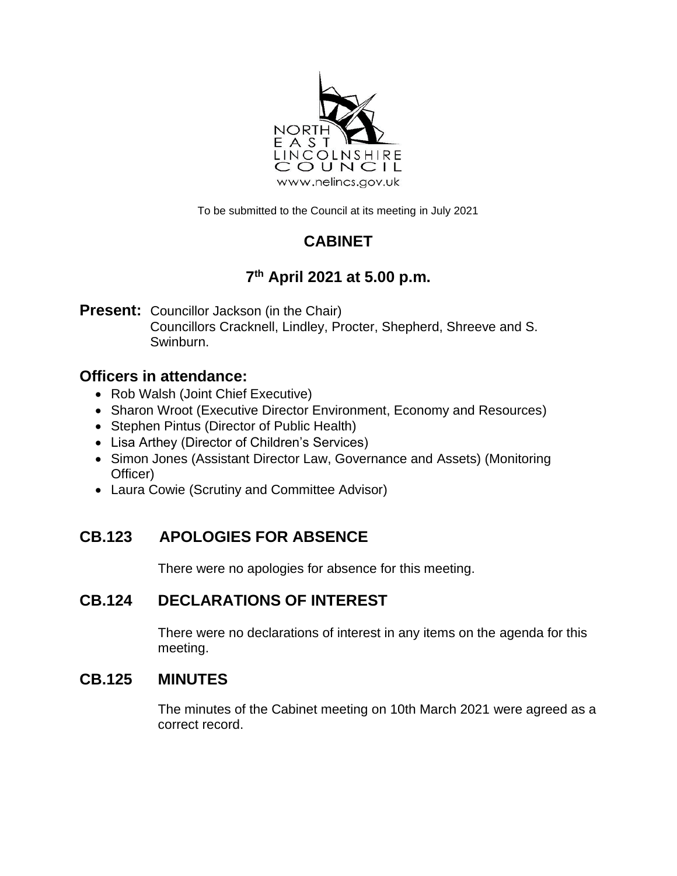

To be submitted to the Council at its meeting in July 2021

# **CABINET**

# **7 th April 2021 at 5.00 p.m.**

**Present:** Councillor Jackson (in the Chair) Councillors Cracknell, Lindley, Procter, Shepherd, Shreeve and S. Swinburn.

## **Officers in attendance:**

- Rob Walsh (Joint Chief Executive)
- Sharon Wroot (Executive Director Environment, Economy and Resources)
- Stephen Pintus (Director of Public Health)
- Lisa Arthey (Director of Children's Services)
- Simon Jones (Assistant Director Law, Governance and Assets) (Monitoring Officer)
- Laura Cowie (Scrutiny and Committee Advisor)

# **CB.123 APOLOGIES FOR ABSENCE**

There were no apologies for absence for this meeting.

# **CB.124 DECLARATIONS OF INTEREST**

There were no declarations of interest in any items on the agenda for this meeting.

## **CB.125 MINUTES**

The minutes of the Cabinet meeting on 10th March 2021 were agreed as a correct record.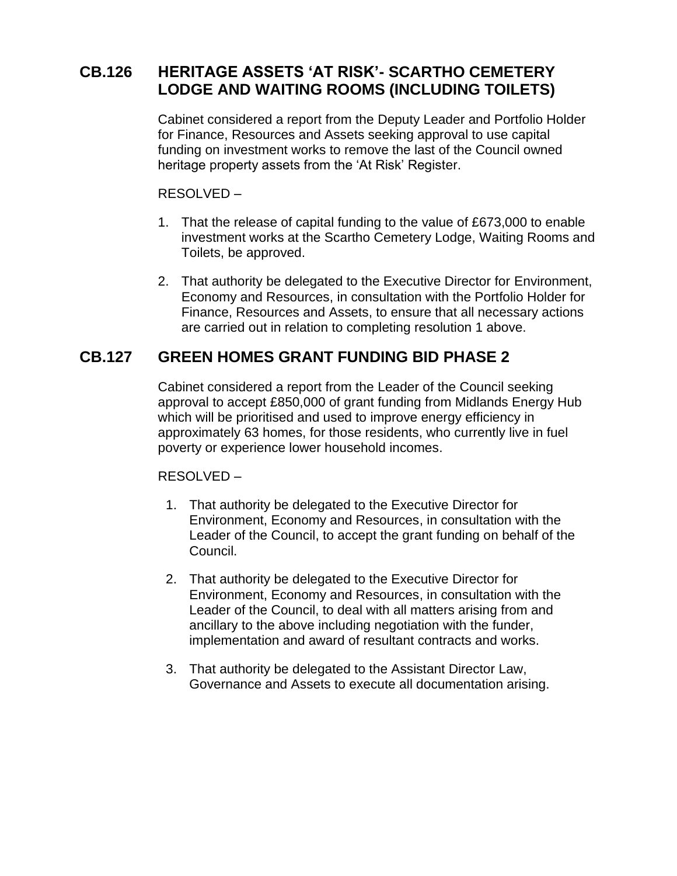## **CB.126 HERITAGE ASSETS 'AT RISK'- SCARTHO CEMETERY LODGE AND WAITING ROOMS (INCLUDING TOILETS)**

Cabinet considered a report from the Deputy Leader and Portfolio Holder for Finance, Resources and Assets seeking approval to use capital funding on investment works to remove the last of the Council owned heritage property assets from the 'At Risk' Register.

RESOLVED –

- 1. That the release of capital funding to the value of £673,000 to enable investment works at the Scartho Cemetery Lodge, Waiting Rooms and Toilets, be approved.
- 2. That authority be delegated to the Executive Director for Environment, Economy and Resources, in consultation with the Portfolio Holder for Finance, Resources and Assets, to ensure that all necessary actions are carried out in relation to completing resolution 1 above.

### **CB.127 GREEN HOMES GRANT FUNDING BID PHASE 2**

Cabinet considered a report from the Leader of the Council seeking approval to accept £850,000 of grant funding from Midlands Energy Hub which will be prioritised and used to improve energy efficiency in approximately 63 homes, for those residents, who currently live in fuel poverty or experience lower household incomes.

#### RESOLVED –

- 1. That authority be delegated to the Executive Director for Environment, Economy and Resources, in consultation with the Leader of the Council, to accept the grant funding on behalf of the Council.
- 2. That authority be delegated to the Executive Director for Environment, Economy and Resources, in consultation with the Leader of the Council, to deal with all matters arising from and ancillary to the above including negotiation with the funder, implementation and award of resultant contracts and works.
- 3. That authority be delegated to the Assistant Director Law, Governance and Assets to execute all documentation arising.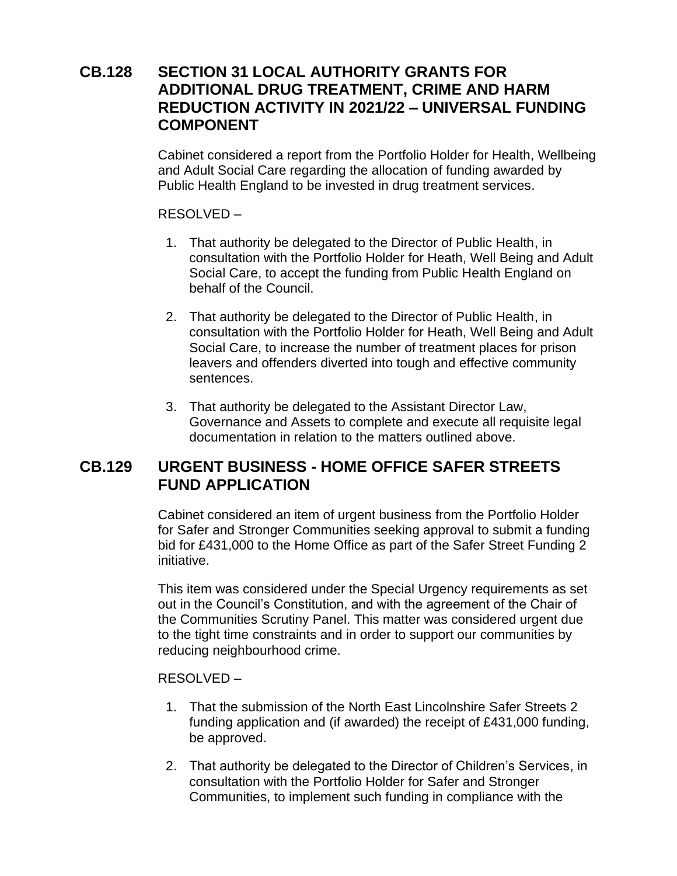### **CB.128 SECTION 31 LOCAL AUTHORITY GRANTS FOR ADDITIONAL DRUG TREATMENT, CRIME AND HARM REDUCTION ACTIVITY IN 2021/22 – UNIVERSAL FUNDING COMPONENT**

Cabinet considered a report from the Portfolio Holder for Health, Wellbeing and Adult Social Care regarding the allocation of funding awarded by Public Health England to be invested in drug treatment services.

#### RESOLVED –

- 1. That authority be delegated to the Director of Public Health, in consultation with the Portfolio Holder for Heath, Well Being and Adult Social Care, to accept the funding from Public Health England on behalf of the Council.
- 2. That authority be delegated to the Director of Public Health, in consultation with the Portfolio Holder for Heath, Well Being and Adult Social Care, to increase the number of treatment places for prison leavers and offenders diverted into tough and effective community sentences.
- 3. That authority be delegated to the Assistant Director Law, Governance and Assets to complete and execute all requisite legal documentation in relation to the matters outlined above.

### **CB.129 URGENT BUSINESS - HOME OFFICE SAFER STREETS FUND APPLICATION**

Cabinet considered an item of urgent business from the Portfolio Holder for Safer and Stronger Communities seeking approval to submit a funding bid for £431,000 to the Home Office as part of the Safer Street Funding 2 initiative.

This item was considered under the Special Urgency requirements as set out in the Council's Constitution, and with the agreement of the Chair of the Communities Scrutiny Panel. This matter was considered urgent due to the tight time constraints and in order to support our communities by reducing neighbourhood crime.

#### RESOLVED –

- 1. That the submission of the North East Lincolnshire Safer Streets 2 funding application and (if awarded) the receipt of £431,000 funding, be approved.
- 2. That authority be delegated to the Director of Children's Services, in consultation with the Portfolio Holder for Safer and Stronger Communities, to implement such funding in compliance with the